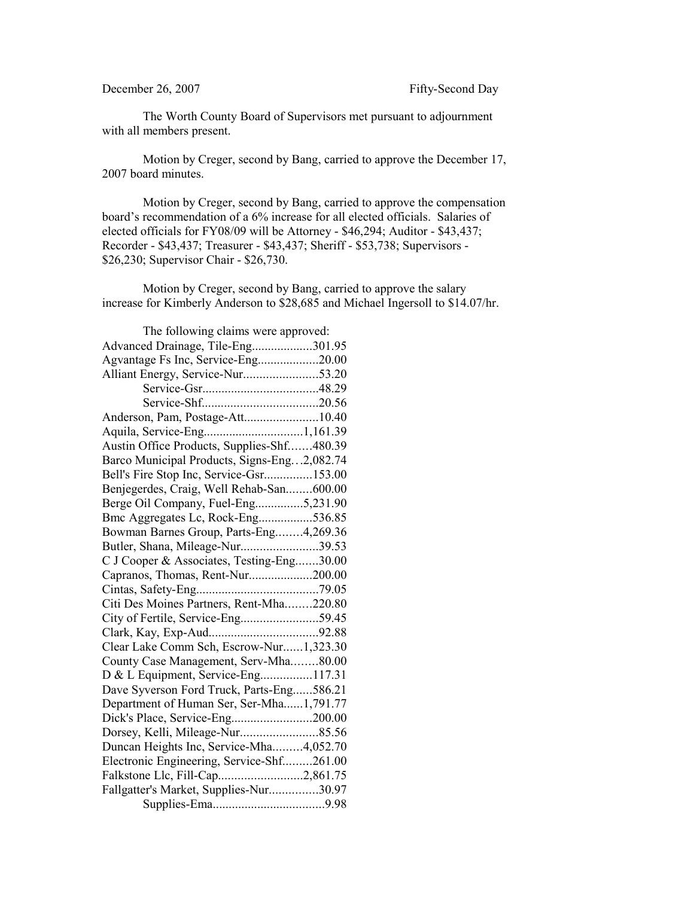## December 26, 2007 Fifty-Second Day

The Worth County Board of Supervisors met pursuant to adjournment with all members present.

Motion by Creger, second by Bang, carried to approve the December 17, 2007 board minutes.

Motion by Creger, second by Bang, carried to approve the compensation board's recommendation of a 6% increase for all elected officials. Salaries of elected officials for FY08/09 will be Attorney - \$46,294; Auditor - \$43,437; Recorder - \$43,437; Treasurer - \$43,437; Sheriff - \$53,738; Supervisors - \$26,230; Supervisor Chair - \$26,730.

Motion by Creger, second by Bang, carried to approve the salary increase for Kimberly Anderson to \$28,685 and Michael Ingersoll to \$14.07/hr.

| The following claims were approved:         |  |
|---------------------------------------------|--|
| Advanced Drainage, Tile-Eng301.95           |  |
| Agvantage Fs Inc, Service-Eng20.00          |  |
|                                             |  |
|                                             |  |
|                                             |  |
| Anderson, Pam, Postage-Att10.40             |  |
|                                             |  |
| Austin Office Products, Supplies-Shf480.39  |  |
| Barco Municipal Products, Signs-Eng2,082.74 |  |
| Bell's Fire Stop Inc, Service-Gsr153.00     |  |
| Benjegerdes, Craig, Well Rehab-San600.00    |  |
| Berge Oil Company, Fuel-Eng5,231.90         |  |
| Bmc Aggregates Lc, Rock-Eng536.85           |  |
| Bowman Barnes Group, Parts-Eng4,269.36      |  |
| Butler, Shana, Mileage-Nur39.53             |  |
| C J Cooper & Associates, Testing-Eng30.00   |  |
| Capranos, Thomas, Rent-Nur200.00            |  |
|                                             |  |
| Citi Des Moines Partners, Rent-Mha220.80    |  |
| City of Fertile, Service-Eng59.45           |  |
|                                             |  |
| Clear Lake Comm Sch, Escrow-Nur1,323.30     |  |
| County Case Management, Serv-Mha80.00       |  |
| D & L Equipment, Service-Eng117.31          |  |
| Dave Syverson Ford Truck, Parts-Eng586.21   |  |
| Department of Human Ser, Ser-Mha1,791.77    |  |
|                                             |  |
|                                             |  |
| Duncan Heights Inc, Service-Mha4,052.70     |  |
| Electronic Engineering, Service-Shf261.00   |  |
| Falkstone Llc, Fill-Cap2,861.75             |  |
| Fallgatter's Market, Supplies-Nur30.97      |  |
|                                             |  |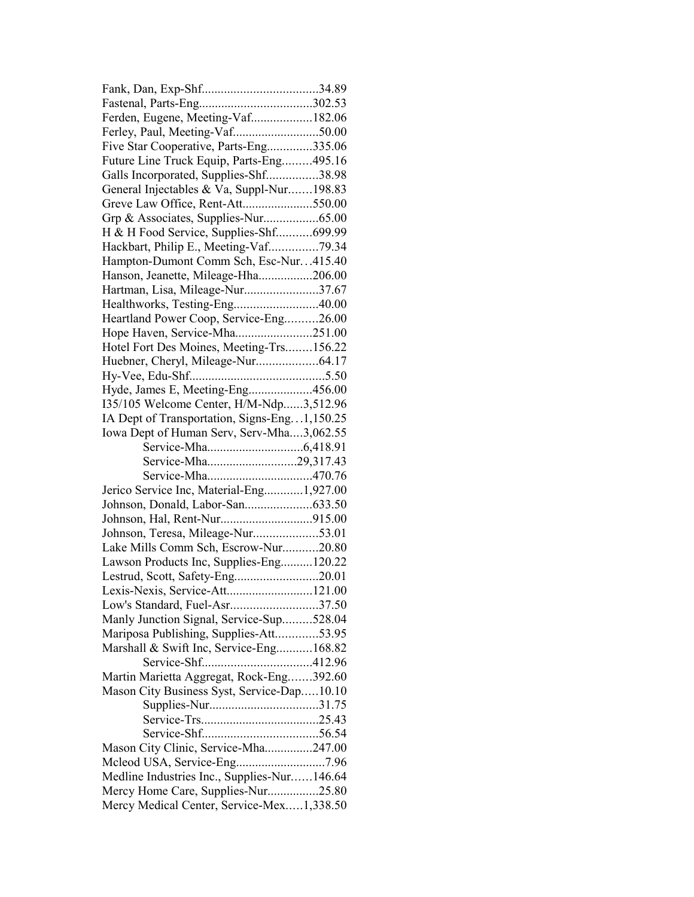| Ferden, Eugene, Meeting-Vaf182.06                                         |  |
|---------------------------------------------------------------------------|--|
|                                                                           |  |
| Five Star Cooperative, Parts-Eng335.06                                    |  |
| Future Line Truck Equip, Parts-Eng495.16                                  |  |
| Galls Incorporated, Supplies-Shf38.98                                     |  |
| General Injectables & Va, Suppl-Nur198.83                                 |  |
| Greve Law Office, Rent-Att550.00                                          |  |
| Grp & Associates, Supplies-Nur65.00                                       |  |
| H & H Food Service, Supplies-Shf699.99                                    |  |
| Hackbart, Philip E., Meeting-Vaf79.34                                     |  |
| Hampton-Dumont Comm Sch, Esc-Nur415.40                                    |  |
| Hanson, Jeanette, Mileage-Hha206.00                                       |  |
| Hartman, Lisa, Mileage-Nur37.67                                           |  |
| Healthworks, Testing-Eng40.00                                             |  |
| Heartland Power Coop, Service-Eng26.00                                    |  |
| Hope Haven, Service-Mha251.00                                             |  |
| Hotel Fort Des Moines, Meeting-Trs156.22                                  |  |
|                                                                           |  |
|                                                                           |  |
| Hyde, James E, Meeting-Eng456.00                                          |  |
| I35/105 Welcome Center, H/M-Ndp3,512.96                                   |  |
| IA Dept of Transportation, Signs-Eng1,150.25                              |  |
| Iowa Dept of Human Serv, Serv-Mha3,062.55                                 |  |
|                                                                           |  |
|                                                                           |  |
| Service-Mha29,317.43                                                      |  |
|                                                                           |  |
| Jerico Service Inc, Material-Eng1,927.00                                  |  |
|                                                                           |  |
|                                                                           |  |
|                                                                           |  |
| Johnson, Teresa, Mileage-Nur53.01<br>Lake Mills Comm Sch, Escrow-Nur20.80 |  |
| Lawson Products Inc, Supplies-Eng120.22                                   |  |
| Lestrud, Scott, Safety-Eng20.01                                           |  |
|                                                                           |  |
| Lexis-Nexis, Service-Att121.00<br>Low's Standard, Fuel-Asr37.50           |  |
| Manly Junction Signal, Service-Sup528.04                                  |  |
|                                                                           |  |
| Mariposa Publishing, Supplies-Att53.95                                    |  |
| Marshall & Swift Inc, Service-Eng168.82                                   |  |
|                                                                           |  |
| Martin Marietta Aggregat, Rock-Eng392.60                                  |  |
| Mason City Business Syst, Service-Dap10.10                                |  |
|                                                                           |  |
|                                                                           |  |
| Mason City Clinic, Service-Mha247.00                                      |  |
|                                                                           |  |
| Medline Industries Inc., Supplies-Nur146.64                               |  |
| Mercy Home Care, Supplies-Nur25.80                                        |  |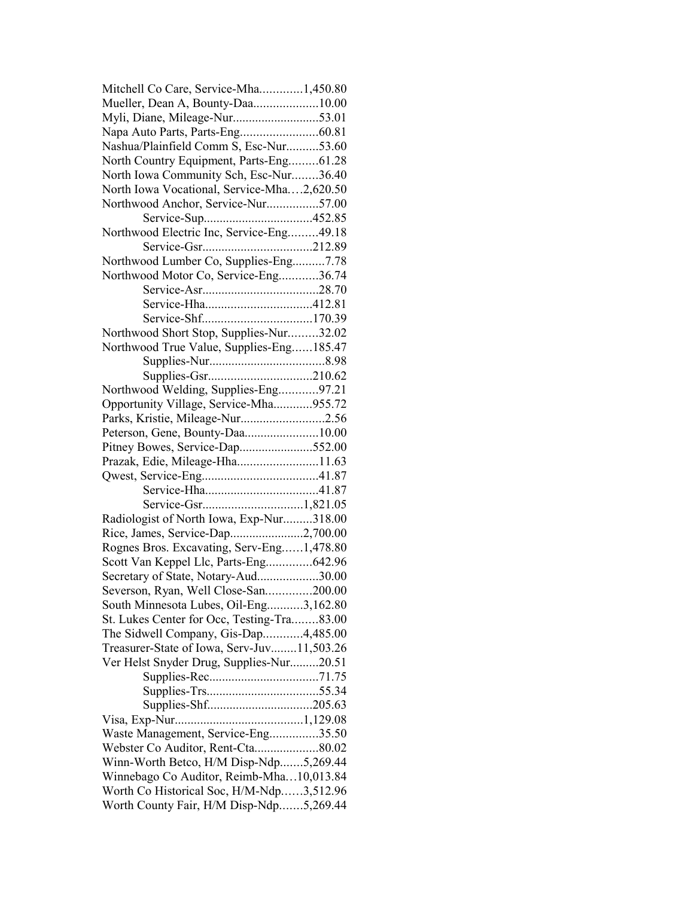| Mitchell Co Care, Service-Mha1,450.80                                                |  |
|--------------------------------------------------------------------------------------|--|
| Mueller, Dean A, Bounty-Daa10.00                                                     |  |
|                                                                                      |  |
|                                                                                      |  |
| Nashua/Plainfield Comm S, Esc-Nur53.60                                               |  |
| North Country Equipment, Parts-Eng61.28                                              |  |
| North Iowa Community Sch, Esc-Nur36.40                                               |  |
| North Iowa Vocational, Service-Mha2,620.50                                           |  |
| Northwood Anchor, Service-Nur57.00                                                   |  |
|                                                                                      |  |
| Northwood Electric Inc, Service-Eng49.18                                             |  |
|                                                                                      |  |
| Northwood Lumber Co, Supplies-Eng7.78                                                |  |
| Northwood Motor Co, Service-Eng36.74                                                 |  |
|                                                                                      |  |
|                                                                                      |  |
|                                                                                      |  |
| Northwood Short Stop, Supplies-Nur32.02                                              |  |
| Northwood True Value, Supplies-Eng185.47                                             |  |
|                                                                                      |  |
|                                                                                      |  |
| Northwood Welding, Supplies-Eng97.21                                                 |  |
| Opportunity Village, Service-Mha955.72                                               |  |
| Parks, Kristie, Mileage-Nur2.56                                                      |  |
| Peterson, Gene, Bounty-Daa10.00                                                      |  |
| Pitney Bowes, Service-Dap552.00                                                      |  |
| Prazak, Edie, Mileage-Hha11.63                                                       |  |
|                                                                                      |  |
|                                                                                      |  |
|                                                                                      |  |
| Radiologist of North Iowa, Exp-Nur318.00                                             |  |
| Rice, James, Service-Dap2,700.00                                                     |  |
| Rognes Bros. Excavating, Serv-Eng1,478.80                                            |  |
| Scott Van Keppel Llc, Parts-Eng642.96                                                |  |
|                                                                                      |  |
| Secretary of State, Notary-Aud30.00                                                  |  |
| Severson, Ryan, Well Close-San200.00                                                 |  |
| South Minnesota Lubes, Oil-Eng3,162.80<br>St. Lukes Center for Occ, Testing-Tra83.00 |  |
|                                                                                      |  |
| The Sidwell Company, Gis-Dap4,485.00                                                 |  |
| Treasurer-State of Iowa, Serv-Juv11,503.26                                           |  |
| Ver Helst Snyder Drug, Supplies-Nur20.51                                             |  |
|                                                                                      |  |
|                                                                                      |  |
|                                                                                      |  |
|                                                                                      |  |
| Waste Management, Service-Eng35.50                                                   |  |
| Webster Co Auditor, Rent-Cta80.02                                                    |  |
| Winn-Worth Betco, H/M Disp-Ndp5,269.44                                               |  |
| Winnebago Co Auditor, Reimb-Mha10,013.84                                             |  |
| Worth Co Historical Soc, H/M-Ndp3,512.96                                             |  |
| Worth County Fair, H/M Disp-Ndp5,269.44                                              |  |